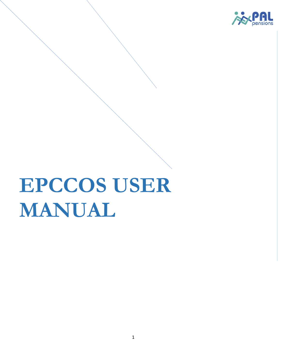

# **EPCCOS USER MANUAL**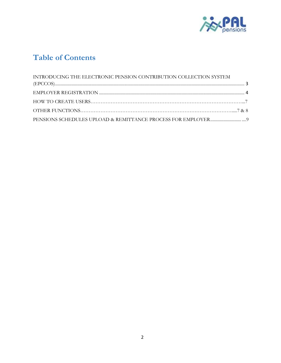

# **Table of Contents**

| INTRODUCING THE ELECTRONIC PENSION CONTRIBUTION COLLECTION SYSTEM |  |
|-------------------------------------------------------------------|--|
|                                                                   |  |
|                                                                   |  |
|                                                                   |  |
|                                                                   |  |
|                                                                   |  |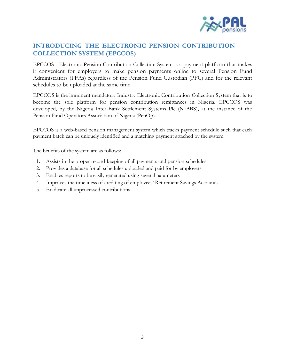

# **INTRODUCING THE ELECTRONIC PENSION CONTRIBUTION COLLECTION SYSTEM (EPCCOS)**

EPCCOS - Electronic Pension Contribution Collection System is a payment platform that makes it convenient for employers to make pension payments online to several Pension Fund Administrators (PFAs) regardless of the Pension Fund Custodian (PFC) and for the relevant schedules to be uploaded at the same time.

EPCCOS is the imminent mandatory Industry Electronic Contribution Collection System that is to become the sole platform for pension contribution remittances in Nigeria. EPCCOS was developed, by the Nigeria Inter-Bank Settlement Systems Plc (NIBBS), at the instance of the Pension Fund Operators Association of Nigeria (PenOp).

EPCCOS is a web-based pension management system which tracks payment schedule such that each payment batch can be uniquely identified and a matching payment attached by the system.

The benefits of the system are as follows:

- 1. Assists in the proper record-keeping of all payments and pension schedules
- 2. Provides a database for all schedules uploaded and paid for by employers
- 3. Enables reports to be easily generated using several parameters
- 4. Improves the timeliness of crediting of employees' Retirement Savings Accounts
- 5. Eradicate all unprocessed contributions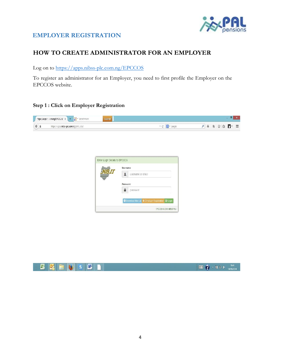

# **EMPLOYER REGISTRATION**

# **HOW TO CREATE ADMINISTRATOR FOR AN EMPLOYER**

Log on to https://apps.nibss-plc.com.ng/EPCCOS

To register an administrator for an Employer, you need to first profile the Employer on the EPCCOS website.

# **Step 1 : Click on Employer Registration**



| Username                                          |
|---------------------------------------------------|
| usemame or email                                  |
| Password                                          |
| password                                          |
| C Download Manual + Employer Registration B Login |

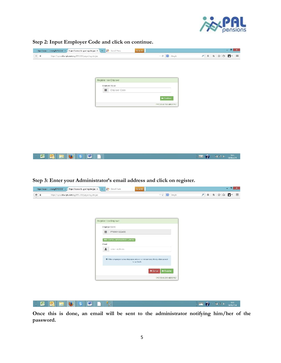

**BUT 2 - TI 12 OF TIMES** 

**Step 2: Input Employer Code and click on continue.**

**K Q** H J S **M** 1

| https://apps.m.cni.ng/EPCCOS/IX / https://apps.inb.iges/register.pplX / + 22 - Scotch here | Search <sup>1</sup>      |                         |                                                                                                                                                                                                                                                                                                                                                                                                                                                                                                                                                                                                                                                               | $   -$ |
|--------------------------------------------------------------------------------------------|--------------------------|-------------------------|---------------------------------------------------------------------------------------------------------------------------------------------------------------------------------------------------------------------------------------------------------------------------------------------------------------------------------------------------------------------------------------------------------------------------------------------------------------------------------------------------------------------------------------------------------------------------------------------------------------------------------------------------------------|--------|
| $\leftarrow$ a<br>https://appsaribse-plucomarg/EPCCOS/pages/register.jsp                   |                          | $= C \cdot$ Strayle     | $\label{eq:3.1} \rho\parallel\,\leftarrow\,\left\ \begin{array}{ccc}\,\leftarrow\,\parallel\,\parallel\,\left\ \begin{array}{ccc}\,\leftarrow\,\parallel\,\left\ \begin{array}{ccc}\,\leftarrow\,\parallel\,\left\ \begin{array}{ccc}\,\leftarrow\,\parallel\,\left\ \begin{array}{ccc}\,\leftarrow\,\parallel\,\left\ \begin{array}{ccc}\,\leftarrow\,\parallel\,\left\ \begin{array}{ccc}\,\leftarrow\,\parallel\,\left\ \begin{array}{ccc}\,\leftarrow\,\parallel\,\left\ \begin{array}{ccc}\,\leftarrow\,\parallel\,\left\ \begin{array}{ccc}\,\leftarrow\,\parallel\,\left\ \begin{array}{ccc}\,\leftarrow\,\parallel\,\left\ \begin{array}{ccc}\,\left$ |        |
|                                                                                            |                          |                         |                                                                                                                                                                                                                                                                                                                                                                                                                                                                                                                                                                                                                                                               |        |
|                                                                                            |                          |                         |                                                                                                                                                                                                                                                                                                                                                                                                                                                                                                                                                                                                                                                               |        |
|                                                                                            | Register New Employer    |                         |                                                                                                                                                                                                                                                                                                                                                                                                                                                                                                                                                                                                                                                               |        |
|                                                                                            | Employer Code            |                         |                                                                                                                                                                                                                                                                                                                                                                                                                                                                                                                                                                                                                                                               |        |
|                                                                                            | <b>III</b> Employer Code |                         |                                                                                                                                                                                                                                                                                                                                                                                                                                                                                                                                                                                                                                                               |        |
|                                                                                            |                          | <b>H</b> Continue       |                                                                                                                                                                                                                                                                                                                                                                                                                                                                                                                                                                                                                                                               |        |
|                                                                                            |                          | PPCCOS @ PO13 NBSS PLC. |                                                                                                                                                                                                                                                                                                                                                                                                                                                                                                                                                                                                                                                               |        |
|                                                                                            |                          |                         |                                                                                                                                                                                                                                                                                                                                                                                                                                                                                                                                                                                                                                                               |        |
|                                                                                            |                          |                         |                                                                                                                                                                                                                                                                                                                                                                                                                                                                                                                                                                                                                                                               |        |
|                                                                                            |                          |                         |                                                                                                                                                                                                                                                                                                                                                                                                                                                                                                                                                                                                                                                               |        |
|                                                                                            |                          |                         |                                                                                                                                                                                                                                                                                                                                                                                                                                                                                                                                                                                                                                                               |        |
|                                                                                            |                          |                         |                                                                                                                                                                                                                                                                                                                                                                                                                                                                                                                                                                                                                                                               |        |
|                                                                                            |                          |                         |                                                                                                                                                                                                                                                                                                                                                                                                                                                                                                                                                                                                                                                               |        |
|                                                                                            |                          |                         |                                                                                                                                                                                                                                                                                                                                                                                                                                                                                                                                                                                                                                                               |        |
|                                                                                            |                          |                         |                                                                                                                                                                                                                                                                                                                                                                                                                                                                                                                                                                                                                                                               |        |

**Step 3: Enter your Administrator's email address and click on register.**

| intips://apps.n.l.om.ng/EPCCOS/ ix / https://apps.nlb.i.ges/register.jsp ix / | $+$ $\frac{4}{2}$ - Search Here<br><b>Search</b>                                        |                                        |                            |             | $ -$<br>×                |
|-------------------------------------------------------------------------------|-----------------------------------------------------------------------------------------|----------------------------------------|----------------------------|-------------|--------------------------|
| $\div$ a                                                                      | https://spps.mba-plc.com.ng/EPCCOS/pages/register.jsp                                   | $\equiv$ C $\parallel$ S $\sim$ Steyle |                            | P → ★ ☆ ☆ ■ | $\equiv$                 |
|                                                                               |                                                                                         |                                        |                            |             |                          |
|                                                                               | Register New Employer                                                                   |                                        |                            |             |                          |
|                                                                               | Employer Code                                                                           |                                        |                            |             |                          |
|                                                                               | 豐<br>PR0001022456                                                                       |                                        |                            |             |                          |
|                                                                               | MBO CAPITAL MAKAGEMENT LIMITED                                                          |                                        |                            |             |                          |
|                                                                               | Fmall                                                                                   |                                        |                            |             |                          |
|                                                                               | 且<br>email address.                                                                     |                                        |                            |             |                          |
|                                                                               | If the employer name displayed above is not correct, Kindly click cancel<br>to go back. |                                        |                            |             |                          |
|                                                                               |                                                                                         | <b>W</b> Ragister<br><b>X</b> Cancel   |                            |             |                          |
|                                                                               |                                                                                         | EPODOS @ 2013 NIDSS PLC                |                            |             |                          |
|                                                                               |                                                                                         |                                        |                            |             |                          |
|                                                                               |                                                                                         |                                        |                            |             |                          |
|                                                                               |                                                                                         |                                        |                            |             |                          |
|                                                                               |                                                                                         |                                        |                            |             |                          |
| ÷<br>X,                                                                       | $\mathbf w$<br><b>PAGE</b><br>s<br>$\lambda_{\rm T}$                                    |                                        | $\mathbb{H}$ 2 $\cdot$ 190 |             | $-10.00$<br>$0.03679714$ |

**Once this is done, an email will be sent to the administrator notifying him/her of the password.**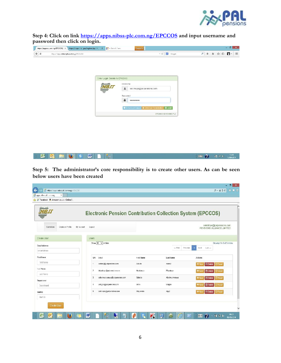

**Step 4: Click on link https://apps.nibss-plc.com.ng/EPCCOS and input username and password then click on login.**

| Enter Login Details to EPCCO3<br>Username<br>$\pmb{z}$<br>bakinloye@palpensions.com<br>Password<br>a<br>--------<br>O Deviticad Manual + Employer Registration Studgin<br>SPCCOS O 2013 MBSS PLC |  | $\bigcirc$ a<br>https://apps.mbss-plc.com.og/EPCCOS/ | $\nabla C$ $\left\  \mathbf{B} \right\ $ - Google | 戸 → 音 ☆   ① 四 → |
|--------------------------------------------------------------------------------------------------------------------------------------------------------------------------------------------------|--|------------------------------------------------------|---------------------------------------------------|-----------------|
|                                                                                                                                                                                                  |  |                                                      |                                                   |                 |
|                                                                                                                                                                                                  |  |                                                      |                                                   |                 |
|                                                                                                                                                                                                  |  |                                                      |                                                   |                 |
|                                                                                                                                                                                                  |  |                                                      |                                                   |                 |
|                                                                                                                                                                                                  |  |                                                      |                                                   |                 |

**Step 5: The administrator's core responsibility is to create other users. As can be seen below users have been created**

**K C HO S W D &** 

|                                                | <b>Electronic Pension Contribution Collection System (EPCCOS)</b> |                   |                     |                                                             |
|------------------------------------------------|-------------------------------------------------------------------|-------------------|---------------------|-------------------------------------------------------------|
| Employer Profile<br>libr Account<br>Operations | Logout                                                            |                   |                     | oakinloye@palpensions.com<br>PENSIONS ALLIANCE LIMITED      |
| Create User                                    | <b>Users</b>                                                      |                   |                     |                                                             |
| <b>EmailAddress</b>                            | Show $10 \times$ entries                                          |                   |                     | Showing 1 to 5 of 5 entries                                 |
| Email/uddress                                  |                                                                   |                   | $-FISI$<br>Previous | based<br>$List-$<br>л                                       |
| <b>First Name</b>                              | S/N<br>Email                                                      | <b>HIrst Name</b> | Last Name           | <b>Actions</b>                                              |
| <b>Tirst Name</b>                              | aaden (Iggoalpensions.com<br>零                                    | Adeolu            | Adenti              | m Delete<br><b>C Reset</b><br><b>OD View</b>                |
| <b>Last Name</b>                               | $\overline{2}$<br>lekwolngo@patpensions.com                       | Nivakaega         | Fluxuluga           | $\Pi$ Delete<br><b>OD Vacy</b><br>$\mathbb C$ Reset         |
| Last Name                                      | oalcxiwuaryanwu@palponsions.com<br>$\overline{\mathbf{3}}$        | Ophcia            | Alcximuarwanwu      |                                                             |
| Department                                     |                                                                   |                   |                     | <b>C</b> Reset<br><b><i>O</i></b> View<br><b>III</b> Delete |
| Department                                     | uckigoo@palpensions.com<br>$\overline{1}$                         | Uche              | Ckagbo              | <b>TD</b> Delete<br><b>C</b> Reset<br><b>OD VERN</b>        |
| Staff ID                                       | cakin overgipalpensions.com<br>5                                  | Ola).moke         | Ajayi               | m Delete<br><b>C Resel</b><br><b>O</b> View                 |
| Staff ID                                       |                                                                   |                   |                     |                                                             |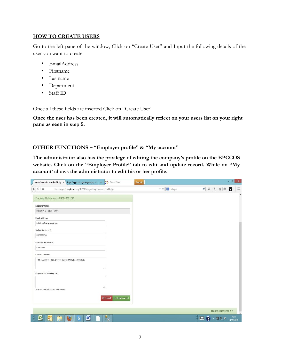### **HOW TO CREATE USERS**

Go to the left pane of the window, Click on "Create User" and Input the following details of the user you want to create

- EmailAddress
- Firstname
- Lastname
- Department
- Staff ID

Once all these fields are inserted Click on "Create User".

**Once the user has been created, it will automatically reflect on your users list on your right pane as seen in step 5.**

# **OTHER FUNCTIONS – "Employer profile" & "My account"**

**The administrator also has the privilege of editing the company's profile on the EPCCOS website. Click on the "Employer Profile" tab to edit and update record. While on "My account' allows the administrator to edit his or her profile.**

| $\mathbb O$<br>۵<br>https://apps.nihss-plc.com.ng/ERCCOS/pages/employer/ampl?mfile.jsp | $\tau \in \mathbb{R}$ , Grogle | 9 + 命 ☆ 自<br>n          |
|----------------------------------------------------------------------------------------|--------------------------------|-------------------------|
| Employer Details form - PR0000621520                                                   |                                |                         |
| Employer Name                                                                          |                                |                         |
| PENSIONS ALLIANCE LIMITED                                                              |                                |                         |
| Email Address                                                                          |                                |                         |
| cabinloye@palpensions.com                                                              |                                |                         |
| Mobile Number(s)                                                                       |                                |                         |
| 08035652740                                                                            |                                |                         |
| Office Phone Number                                                                    |                                |                         |
| 014622490                                                                              |                                |                         |
| Contact Address                                                                        |                                |                         |
| 9th Floor UDA HouseFODox 16857 MarinaLaope Nigeria<br>vo                               |                                |                         |
| Organization's Mailing List                                                            |                                |                         |
|                                                                                        |                                |                         |
| - 12<br>Seperate email addresses with comman                                           |                                |                         |
|                                                                                        |                                |                         |
| Cancel Lupdate record                                                                  |                                |                         |
|                                                                                        |                                | EPCCOS @ 2013 NIBSS PLC |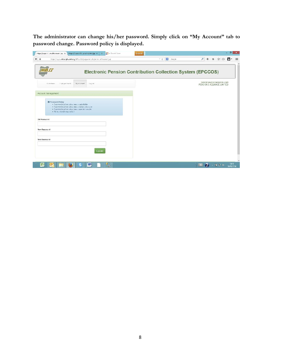**The administrator can change his/her password. Simply click on "My Account" tab to password change. Password policy is displayed.**

| https://apps.mbs <b>-plu.com.</b> ng/EPCCOS/pages/employer/emplAccount_sp                                                                                                                                                                                | $P + A$ $\alpha$ $\Box$ $\Box$<br>$\equiv$ $C$ $\equiv$ $C$ Strugle |  |
|----------------------------------------------------------------------------------------------------------------------------------------------------------------------------------------------------------------------------------------------------------|---------------------------------------------------------------------|--|
|                                                                                                                                                                                                                                                          | <b>Electronic Pension Contribution Collection System (EPCCOS)</b>   |  |
| My Account<br>Logout<br>Containes.<br>I mployer Frante:                                                                                                                                                                                                  | cakinloye@palpensions.com<br>PENSIONS ALLIANCE LIMITED              |  |
| Account Management                                                                                                                                                                                                                                       |                                                                     |  |
| <b>C</b> Prisoward Policy<br>· Password must contain at least a capital faller<br>. Password must contain at least a numer clide acter.<br>· Password must contain at east a special character<br>· Minute intength required is 8<br><b>Old Password</b> |                                                                     |  |
| New Password                                                                                                                                                                                                                                             |                                                                     |  |
| New Password                                                                                                                                                                                                                                             |                                                                     |  |
| <b>Locate</b>                                                                                                                                                                                                                                            |                                                                     |  |
|                                                                                                                                                                                                                                                          |                                                                     |  |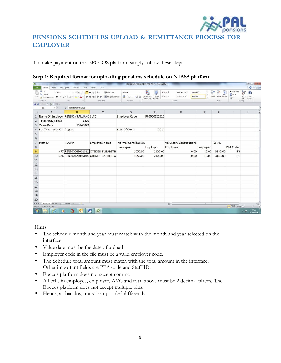

# **PENSIONS SCHEDULES UPLOAD & REMITTANCE PROCESS FOR EMPLOYER**

To make payment on the EPCCOS platform simply follow these steps

| Step 1: Required format for uploading pensions schedule on NIBSS platform |
|---------------------------------------------------------------------------|
|---------------------------------------------------------------------------|

| $\mathbf{z}$ |                                                                            |                               |                                                                                           |                                                                                                      |                                                           | EPCOSS UPLOAD AUGUST 2014 - SR 2 - Microsoft Excel     |          |                                                                |          |                                     |                                      |                                                                                                     |
|--------------|----------------------------------------------------------------------------|-------------------------------|-------------------------------------------------------------------------------------------|------------------------------------------------------------------------------------------------------|-----------------------------------------------------------|--------------------------------------------------------|----------|----------------------------------------------------------------|----------|-------------------------------------|--------------------------------------|-----------------------------------------------------------------------------------------------------|
| Paste        | Home<br>Cut<br>The Copy *<br><b>J</b> Format Painter<br>Clipboard<br>$-12$ | Insert Page Layout<br>Calibri | Formulas<br>Data<br>$\cdot$ 11 $\cdot$ A <sup>*</sup> A <sup>*</sup><br>Ξ<br>Font<br>$-6$ | Review<br>View<br>Wrap Text<br>$39 -$<br>B I U · 田 · タ· A · 田 著 理 律 伊 国Merge & Center ·<br>Alignment | General<br>四·%, 1 据 50<br>Number.<br>$16 -$<br>$\sqrt{2}$ | Conditional Format Normal 4<br>Formatting + as Table + | Normal 2 | Normal 222<br>Normal 3<br>Normal 42<br>Normal<br><b>Styles</b> |          | ł<br>Insert Delete Format<br>Cells: | Σ AutoSum -<br>a Fill +<br>2 Clear + | $\triangle$ $\Theta$ = $\varnothing$ $\varnothing$<br>Sort & Find &<br>Filter - Select -<br>Editing |
|              | 日の、いっ立体日田。                                                                 |                               |                                                                                           |                                                                                                      |                                                           |                                                        |          |                                                                |          |                                     |                                      |                                                                                                     |
|              | $\mathbf{v}^{(n)}$<br><b>B9</b>                                            |                               | $f_x$ PEN200648061311                                                                     |                                                                                                      |                                                           |                                                        |          |                                                                |          |                                     |                                      |                                                                                                     |
| 4            | $\mathsf{A}$                                                               |                               | B                                                                                         | $\mathsf{C}$                                                                                         | D.                                                        | E                                                      |          | F                                                              | G        | H                                   |                                      | $\overline{\phantom{0}}$<br>$\mathbf{1}$                                                            |
|              |                                                                            |                               | Name Of Employer PENSIONS ALLIANCE LTD                                                    |                                                                                                      | <b>Employer Code</b>                                      | PR0000621520                                           |          |                                                                |          |                                     |                                      |                                                                                                     |
|              | 2 Total Amt.(Naira)                                                        |                               | 6300                                                                                      |                                                                                                      |                                                           |                                                        |          |                                                                |          |                                     |                                      |                                                                                                     |
|              | 3 Value Date                                                               |                               | 20140829                                                                                  |                                                                                                      |                                                           |                                                        |          |                                                                |          |                                     |                                      |                                                                                                     |
| 4            | For The month Of August                                                    |                               |                                                                                           |                                                                                                      | Year Of Contr.                                            | 2014                                                   |          |                                                                |          |                                     |                                      |                                                                                                     |
| 5<br>6       |                                                                            |                               |                                                                                           |                                                                                                      |                                                           |                                                        |          |                                                                |          |                                     |                                      |                                                                                                     |
| 7            | Staff ID                                                                   |                               | RSA Pin                                                                                   | <b>Employee Name</b>                                                                                 | <b>Normal Contribution</b>                                |                                                        |          | <b>Voluntary Contributions</b>                                 |          | <b>TOTAL</b>                        |                                      |                                                                                                     |
| 8            |                                                                            |                               |                                                                                           |                                                                                                      | Employee                                                  | Employer                                               |          | Employee                                                       | Employer |                                     | PFA Code                             |                                                                                                     |
| 9            |                                                                            |                               |                                                                                           | 477 PEN200648061311 OYEDEJI ELIZABETH                                                                | 1050.00                                                   | 2100.00                                                |          | 0.00                                                           | 0.00     | 3150.00                             | 25                                   |                                                                                                     |
| $10$         |                                                                            |                               |                                                                                           | 366 PEN200527089015 ORESIRI GABRIELLA                                                                | 1050.00                                                   | 2100.00                                                |          | 0.00                                                           | 0.00     | 3150.00                             | 21                                   |                                                                                                     |
| 11           |                                                                            |                               |                                                                                           |                                                                                                      |                                                           |                                                        |          |                                                                |          |                                     |                                      |                                                                                                     |
| $12\,$       |                                                                            |                               |                                                                                           |                                                                                                      |                                                           |                                                        |          |                                                                |          |                                     |                                      |                                                                                                     |
| 13           |                                                                            |                               |                                                                                           |                                                                                                      |                                                           |                                                        |          |                                                                |          |                                     |                                      |                                                                                                     |
| 14           |                                                                            |                               |                                                                                           |                                                                                                      |                                                           |                                                        |          |                                                                |          |                                     |                                      |                                                                                                     |
| 15           |                                                                            |                               |                                                                                           |                                                                                                      |                                                           |                                                        |          |                                                                |          |                                     |                                      |                                                                                                     |
| 16           |                                                                            |                               |                                                                                           |                                                                                                      |                                                           |                                                        |          |                                                                |          |                                     |                                      |                                                                                                     |
| 17           |                                                                            |                               |                                                                                           |                                                                                                      |                                                           |                                                        |          |                                                                |          |                                     |                                      |                                                                                                     |
| 18           |                                                                            |                               |                                                                                           |                                                                                                      |                                                           |                                                        |          |                                                                |          |                                     |                                      |                                                                                                     |
| 19           |                                                                            |                               |                                                                                           |                                                                                                      |                                                           |                                                        |          |                                                                |          |                                     |                                      |                                                                                                     |
| 20           |                                                                            |                               |                                                                                           |                                                                                                      |                                                           |                                                        |          |                                                                |          |                                     |                                      |                                                                                                     |
| Ready        | M 4 P M Sheet3 Sheet3 (2) Sheet2 Sheet1 (2)<br>Circular References         |                               |                                                                                           |                                                                                                      |                                                           |                                                        |          | $\Box$ 4                                                       | $-18$    |                                     | ■□□ 150% →                           | $\bullet$<br>$\Omega$<br>任                                                                          |
|              | Æ                                                                          | $\mathbf{o}$                  |                                                                                           | W<br>X                                                                                               |                                                           |                                                        |          |                                                                |          |                                     |                                      | 09:11<br>$\sim$<br>12/09/2014                                                                       |

Hints:

- The schedule month and year must match with the month and year selected on the interface.
- Value date must be the date of upload
- Employer code in the file must be a valid employer code.
- The Schedule total amount must match with the total amount in the interface. Other important fields are PFA code and Staff ID.
- Epccos platform does not accept comma
- All cells in employee, employer, AVC and total above must be 2 decimal places. The Epccos platform does not accept multiple pins.
- Hence, all backlogs must be uploaded differently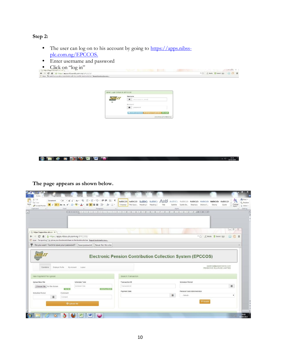# **Step 2:**

- The user can log on to his account by going to https://apps.nibssplc.com.ng/EPCCOS.
- Enter username and password
- Click on "log in"

| <b>CHLK OII</b> IOg III                                                                          |                               |                                                   | $-111$ $\Omega$          |
|--------------------------------------------------------------------------------------------------|-------------------------------|---------------------------------------------------|--------------------------|
| C 音 曲 https://apps.nibss-plc.com.ng/LPCCCS/<br>$\leftarrow$ $\rightarrow$                        |                               |                                                   | *☆ SMeth \$Tomes @ Q C H |
| 22 Apps - For quick access, place your bookmarks here en the bookmarks but. Import bookmarks now |                               |                                                   |                          |
|                                                                                                  |                               |                                                   |                          |
|                                                                                                  |                               |                                                   |                          |
|                                                                                                  |                               |                                                   |                          |
|                                                                                                  |                               |                                                   |                          |
|                                                                                                  | Enfor Login Details to EPOCOS |                                                   |                          |
|                                                                                                  |                               | <b>Beemame</b>                                    |                          |
|                                                                                                  | <b>WIELT</b>                  | $\mathbf{x}$<br><b>REACHING STRAINS</b>           |                          |
|                                                                                                  |                               | Posterover of                                     |                          |
|                                                                                                  |                               | $\blacksquare$<br>password                        |                          |
|                                                                                                  |                               |                                                   |                          |
|                                                                                                  |                               | O Download Manual + Employer Registration B Login |                          |
|                                                                                                  |                               | ELECCION ALSO TO MINISTRACT                       |                          |

 $\sim$   $\tau$   $\sim$   $\frac{\text{when}}{\text{when}}$ 



**The page appears as shown below.**

| & Cut<br>日・日・記・<br>课信 红 1<br>墨<br>Garamond<br>$-16$<br>$-$ A<br>$\mathbf{A}^{\mathbf{r}}$<br>Aa <sup>-</sup><br>La Copy<br>王室三<br>BIU<br>$=$<br><b>A</b><br>GH *<br>$\times$<br>Format Painter<br>Clipboard<br>Font<br>Paragraph<br>īk. | E Normal           | AaBbCcDt AaBbCcDt AaBbCt AaBbCc AaB<br>1 No Spati Heading 1 Heading 2 | Title | AaBbCc. AaBbCcDe AaBbCcDe<br>Subtitle<br>Styles | Subtle Em Emphasis         | AaBbCcDi AaBbCcDt<br>Intense E | Strong                                               | AaBbCcDt<br>Quote | 79<br>Change<br>×<br>Styles - | 約 Find +<br><b>AL Replace</b><br>Select +<br>Editing<br>$-44$ |
|-----------------------------------------------------------------------------------------------------------------------------------------------------------------------------------------------------------------------------------------|--------------------|-----------------------------------------------------------------------|-------|-------------------------------------------------|----------------------------|--------------------------------|------------------------------------------------------|-------------------|-------------------------------|---------------------------------------------------------------|
| 2/2008 12:00:00 12:00:00 12:00:00 12:00 12:00:00 12:00:00 12:00:00 12:00:00 12:00:00 12:00:00 12:00:00 12:00:00 12:00:00 12:00:00 12:00:00 12:00:00 12:00:00 12:00:00 12:00:00 12:00:00 12:00:00 12:00:00 12:00:00 12:00:00 12:         |                    |                                                                       |       |                                                 |                            |                                |                                                      |                   |                               |                                                               |
| https://apps.nibss-plc.co/ ×                                                                                                                                                                                                            |                    |                                                                       |       |                                                 |                            |                                |                                                      |                   | $\Box \quad \Box$             |                                                               |
| <del>n</del> a https://apps.nibss-plc.com.ng/EPCCOS/<br>С                                                                                                                                                                               |                    |                                                                       |       |                                                 |                            | $-5.7$                         | 6. Modia 3. Torrent 653                              |                   | R<br>Ω                        | 亖                                                             |
| [11] Apps For quick ac iss, place your bookmarks here on the bookmarks bar. Import bookmarks now                                                                                                                                        |                    |                                                                       |       |                                                 |                            |                                |                                                      |                   |                               |                                                               |
| Never for this site<br><b>Electronic Pension Contribution Collection System (EPCCOS)</b>                                                                                                                                                |                    |                                                                       |       |                                                 |                            |                                |                                                      |                   |                               | $\rightarrow$                                                 |
| Operations<br>Employer Profile<br>My Account.<br>Loggut                                                                                                                                                                                 |                    |                                                                       |       |                                                 |                            |                                | aadenij@palpensions.com<br>PENSIONS ALLIANCE LIMITED |                   |                               |                                                               |
|                                                                                                                                                                                                                                         | Search Transaction |                                                                       |       |                                                 |                            |                                |                                                      |                   |                               |                                                               |
| Schedule Total                                                                                                                                                                                                                          | Transaction ID     |                                                                       |       |                                                 | Schedule Period            |                                |                                                      |                   |                               |                                                               |
| Do you want Torch to save your password? Save password<br>New Payment File Upload<br><b>Upload New File</b><br>Schedule Total<br>Choose File   No file chosen                                                                           | Transaction D      |                                                                       |       |                                                 |                            |                                |                                                      |                   | 旨                             |                                                               |
| <b>American LTD,45</b><br>739,739                                                                                                                                                                                                       | Payment Date       |                                                                       |       |                                                 | Pension Fund Administrator |                                |                                                      |                   |                               |                                                               |
| <b>Schedule Period</b><br>Comment<br>旨<br>Comment                                                                                                                                                                                       |                    |                                                                       |       | 畐                                               | $-$ Select $-$             |                                |                                                      |                   | ٠                             |                                                               |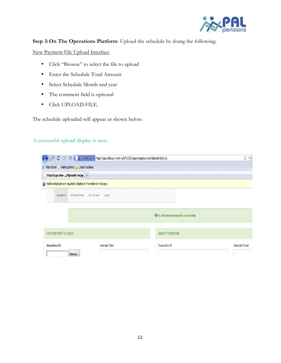

# **Step 3:On The Operations Platform**: Upload the schedule by doing the following;

New Payment File Upload Interface

- Click "Browse" to select the file to upload
- Enter the Schedule Total Amount
- Select Schedule Month and year
- The comment field is optional
- Click UPLOAD FILE.

The schedule uploaded will appear as shown below:

# A successful upload display is seen.

| $\cdot$ c $\times$<br>$\left( \left. \right. \right. \left. \right. \left. \right. \left. \right. \left. \right. \left. \left. \right. \right)$ | The infossion and https://apps.nibss-pic.com.ng/EPCCOS/pages/employer/emplUploadAction.jsp<br>2 Most Visited Getting Started N Latest Headlines |                                            | ŵ<br>$\mathbf{r}$ |
|-------------------------------------------------------------------------------------------------------------------------------------------------|-------------------------------------------------------------------------------------------------------------------------------------------------|--------------------------------------------|-------------------|
| https://apps.nibss-plUploadAction.jsp +                                                                                                         |                                                                                                                                                 |                                            |                   |
|                                                                                                                                                 | Additional plugins are required to display all the media on this page.                                                                          |                                            |                   |
| Operations                                                                                                                                      | Employer Profie<br>My Account<br>Logout                                                                                                         |                                            |                   |
|                                                                                                                                                 |                                                                                                                                                 | O Your file has been uploaded successfully |                   |
| New Payment File Upload                                                                                                                         |                                                                                                                                                 | Search Transaction                         |                   |
| <b>Upload New File</b>                                                                                                                          | Schedule Total                                                                                                                                  | Transaction ID                             | Schedule Period   |
|                                                                                                                                                 | Browse.                                                                                                                                         |                                            |                   |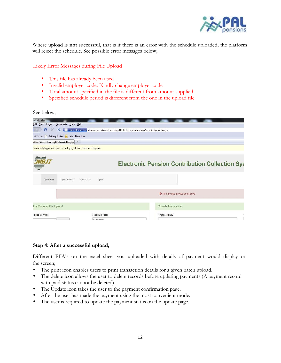

Where upload is **not** successful, that is if there is an error with the schedule uploaded, the platform will reject the schedule. See possible error messages below;

#### Likely Error Messages during File Upload

- This file has already been used
- Invalid employer code. Kindly change employer code
- Total amount specified in the file is different from amount supplied
- Specified schedule period is different from the one in the upload file

#### See below;

| szilla Firefox                                                         |                              |                                                                                            |
|------------------------------------------------------------------------|------------------------------|--------------------------------------------------------------------------------------------|
| Edit View History Bookmarks Tools Help                                 |                              |                                                                                            |
| c<br>X                                                                 |                              | nilosseptereoneng https://apps.nibss-pic.com.ng/EPCCOS/pages/employer/emplUploacAction.jsp |
| ost Visited     Getting Started   Latest Headlines                     |                              |                                                                                            |
| sttps://apps.nibss-plUploadAction.jsp                                  |                              |                                                                                            |
| colitional plugins are required to display all the media on this page. |                              |                                                                                            |
|                                                                        |                              | <b>Electronic Pension Contribution Collection System</b>                                   |
| Employer Profile<br>Opcratona                                          | My Account<br>$\_$ ogout     |                                                                                            |
|                                                                        |                              | Inis tile has already been used                                                            |
| Icw Payment File Upload                                                |                              | Scarch Transaction                                                                         |
| Ipload New File                                                        | Schedule Total<br>344,300.00 | Transaction ID<br>š                                                                        |

#### **Step 4: After a successful upload,**

Different PFA's on the excel sheet you uploaded with details of payment would display on the screen;

- The print icon enables users to print transaction details for a given batch upload.
- The delete icon allows the user to delete records before updating payments (A payment record with paid status cannot be deleted).
- The Update icon takes the user to the payment confirmation page.
- After the user has made the payment using the most convenient mode.
- The user is required to update the payment status on the update page.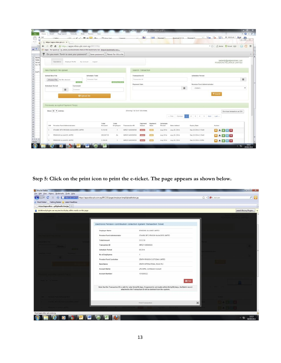| Cut |                        | Californ                                                                                    |                     | $\mathcal{L}(t) = \mathbf{A}^*$ , $\mathcal{L} = \mathbf{B} = \mathbf{A} \mathbf{A}$ , $\mathbf{B} = \mathbf{A} \mathbf{A}$ , $\mathbf{A} = \mathbf{A} \mathbf{A}$ |                 | Ganacsi                  |                 | <b>Ball</b>                     |                  | Mormal 2           | Normal 3.3.3       | $ -$<br>Normal 3                      |                 | E AutoSum - App (2)                                  |
|-----|------------------------|---------------------------------------------------------------------------------------------|---------------------|--------------------------------------------------------------------------------------------------------------------------------------------------------------------|-----------------|--------------------------|-----------------|---------------------------------|------------------|--------------------|--------------------|---------------------------------------|-----------------|------------------------------------------------------|
|     |                        | https://apps.nibss-plc.cor X                                                                |                     |                                                                                                                                                                    |                 |                          |                 |                                 |                  |                    |                    |                                       |                 |                                                      |
|     | C                      | ₫ <u>A</u> https://apps.nibss-plc.com.ng/EPCCOS/                                            |                     |                                                                                                                                                                    |                 |                          |                 |                                 |                  |                    |                    |                                       | $-50$           | Q<br>6. Media Torrent (Lill)                         |
|     |                        | Apps For quick ac 'ss, place your bookmarks here on the bookmarks bar. Import bookmarks now |                     |                                                                                                                                                                    |                 |                          |                 |                                 |                  |                    |                    |                                       |                 |                                                      |
| 무   |                        | Do you want Torch to save your password? Save password Never for this site                  |                     |                                                                                                                                                                    |                 |                          |                 |                                 |                  |                    |                    |                                       |                 |                                                      |
|     |                        | Operations:<br>Employer Profile                                                             |                     | <b>Wy Account</b><br>Logout                                                                                                                                        |                 |                          |                 |                                 |                  |                    |                    |                                       |                 | aadenij@palpensions.com<br>PENSIONS ALLIANCE LIMITED |
|     |                        | New Payment File Upload                                                                     |                     |                                                                                                                                                                    |                 |                          |                 | Search Transaction              |                  |                    |                    |                                       |                 |                                                      |
|     | Upload New File        |                                                                                             |                     | Schedule Total                                                                                                                                                     |                 |                          |                 | Transaction ID                  |                  |                    |                    | Schedule Period                       |                 |                                                      |
|     |                        | Choose File   No file chosen                                                                |                     | Schedule Total                                                                                                                                                     |                 |                          |                 | Transaction D                   |                  |                    |                    |                                       |                 | $\equiv$                                             |
|     | <b>Schedule Period</b> |                                                                                             | PINTIN<br>Comment   |                                                                                                                                                                    |                 | Amount ag 1,121.89       |                 | Payment Date                    |                  |                    |                    | Pension Fund Administrator            |                 |                                                      |
|     |                        | 旨                                                                                           | Comment             |                                                                                                                                                                    |                 |                          |                 |                                 |                  |                    | 盖                  | $-Seted$                              |                 |                                                      |
|     |                        |                                                                                             | <b>O</b> Upload the |                                                                                                                                                                    |                 |                          |                 |                                 |                  |                    |                    |                                       | <b>T</b> Search |                                                      |
|     |                        | Previously accepted Payment File(s)                                                         |                     |                                                                                                                                                                    |                 |                          |                 |                                 |                  |                    |                    |                                       |                 |                                                      |
|     |                        | Show 10 . entries                                                                           |                     |                                                                                                                                                                    |                 |                          |                 | Showing 1 to 10 of 136 entries. |                  |                    | - First : Previous | $2$ $3$ $4$ $5$ $7$ $7$ $8$ $10$ $10$ |                 | Download transactions as CSV:                        |
|     | 5/16                   | Pension Fund Administrator                                                                  |                     |                                                                                                                                                                    | Total<br>Amount | Total<br><b>Employee</b> | Transaction ID  | Payment<br>Status               | Payment<br>State | Schedule<br>Period | Date Added         | <b>Expiry Date</b>                    | Action          |                                                      |
|     |                        | STANBIC ISTC PENSION MANAGERS LIMITED                                                       |                     |                                                                                                                                                                    | 5,512.50        | $\mathcal{L}$            | NP0211408290500 |                                 |                  | Aug 2014           | Aug 29, 2014       | Sep 28 2014 8:15AM                    |                 |                                                      |
|     |                        | PENSIONS ALLIANCE LIMITED                                                                   |                     |                                                                                                                                                                    | 208,687.50      | 64                       | NP0251408290500 |                                 | <b>STRI</b>      | Aug 2014           | Aug 29, 2014       | Sep 28 2014 8:15AM                    |                 | 00160                                                |
|     |                        | PENSIONS ALLIANCE LIMITED                                                                   |                     |                                                                                                                                                                    | 3,150.00        | $\mathcal{X}$            | NF0251408290530 |                                 |                  | Aug 2014           | Aug 29, 2014       | Sep 28 2014 4:01PM                    |                 |                                                      |

**Step 5: Click on the print icon to print the e-ticket. The page appears as shown below.**

| Mozilla Firefox                                                        |                                                                                              |                                                                                                                                                                                                    |                    |                                |
|------------------------------------------------------------------------|----------------------------------------------------------------------------------------------|----------------------------------------------------------------------------------------------------------------------------------------------------------------------------------------------------|--------------------|--------------------------------|
| File Edit View History Bookmarks Tools Help                            |                                                                                              |                                                                                                                                                                                                    |                    |                                |
| c                                                                      | initistic (website) https://apps.nibss-plc.com.ng/EPCCOS/pages/employer/emplUploadAction.jsp |                                                                                                                                                                                                    | D . Ask com<br>☆ · | <b>P</b> V                     |
| Most Visited   Getting Started <b>av</b> Latest Headlines              |                                                                                              |                                                                                                                                                                                                    |                    |                                |
| https://apps.nibss-plUploadAction.jsp                                  |                                                                                              |                                                                                                                                                                                                    |                    |                                |
| Additional plugins are required to display all the media on this page. |                                                                                              |                                                                                                                                                                                                    |                    | <b>Install Missing Plugins</b> |
|                                                                        |                                                                                              |                                                                                                                                                                                                    |                    |                                |
|                                                                        |                                                                                              |                                                                                                                                                                                                    |                    |                                |
|                                                                        |                                                                                              |                                                                                                                                                                                                    |                    |                                |
|                                                                        | Electronic Pension Contribution Collection System Transaction Ticket                         |                                                                                                                                                                                                    |                    |                                |
|                                                                        | <b>Employer Name</b>                                                                         | PENSIONS ALLIANCE LIMITED                                                                                                                                                                          |                    |                                |
|                                                                        | Pension Fund Administrator                                                                   | STANBIC IBTC PENSION MANAGERS LIMTED                                                                                                                                                               |                    |                                |
|                                                                        | <b>Total Amount</b>                                                                          | 5,512.50                                                                                                                                                                                           |                    |                                |
|                                                                        | Transaction ID                                                                               | NP0211409040583                                                                                                                                                                                    |                    |                                |
|                                                                        | Schedule Period                                                                              | 08 2014                                                                                                                                                                                            |                    |                                |
|                                                                        | No of Employees                                                                              | $\mathbf{r}$                                                                                                                                                                                       |                    |                                |
|                                                                        | Pension Fund Custodian                                                                       | ZENITH PENSION CUSTODIAN LIMITED                                                                                                                                                                   |                    |                                |
|                                                                        | Bank Name                                                                                    | ZENITH INTERNATIONAL BANK PLC                                                                                                                                                                      |                    |                                |
|                                                                        | Account Name                                                                                 | ZPC/SIPML Contribution Account                                                                                                                                                                     |                    |                                |
|                                                                        | Account Number                                                                               | 1010885522                                                                                                                                                                                         |                    |                                |
|                                                                        |                                                                                              |                                                                                                                                                                                                    | <b>B</b> Print     |                                |
|                                                                        |                                                                                              |                                                                                                                                                                                                    |                    |                                |
|                                                                        |                                                                                              | Note that the Transaction ID is valid for only thirty(30) days. If payment is not made within thirty(30) days, the Batch record<br>attached to the Transaction ID will be deleted from the system. |                    |                                |
|                                                                        |                                                                                              |                                                                                                                                                                                                    |                    |                                |
|                                                                        |                                                                                              |                                                                                                                                                                                                    |                    |                                |
|                                                                        |                                                                                              | Print Transaction                                                                                                                                                                                  | ×                  |                                |
|                                                                        |                                                                                              |                                                                                                                                                                                                    |                    |                                |
|                                                                        |                                                                                              |                                                                                                                                                                                                    |                    |                                |
| Read apps.nibss-plc.com.ng                                             |                                                                                              |                                                                                                                                                                                                    |                    |                                |
|                                                                        |                                                                                              |                                                                                                                                                                                                    |                    | 12:13<br>$-5$<br>04/09/2014    |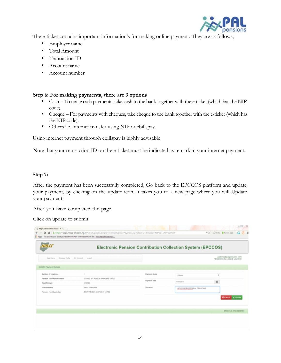

The e-ticket contains important information's for making online payment. They are as follows;

- Employer name
- Total Amount
- **•** Transaction ID
- Account name
- Account number

# **Step 6: For making payments, there are 3 options**

- Cash To make cash payments, take cash to the bank together with the e-ticket (which has the NIP code).
- Cheque For payments with cheques, take cheque to the bank together with the e-ticket (which has the NIP code).
- Others i.e. internet transfer using NIP or ebillspay.

Using internet payment through ebillspay is highly advisable

Note that your transaction ID on the e-ticket must be indicated as remark in your internet payment.

# **Step 7:**

After the payment has been successfully completed, Go back to the EPCCOS platform and update your payment, by clicking on the update icon, it takes you to a new page where you will Update your payment.

After you have completed the page

Click on update to submit

|                                                  |                                     | <b>Electronic Pension Contribution Collection System (EPCCOS)</b> |                             |                                                      |
|--------------------------------------------------|-------------------------------------|-------------------------------------------------------------------|-----------------------------|------------------------------------------------------|
| Employer Pro The M. Account Lageut<br>Operationa |                                     |                                                                   |                             | aaden@@patpersacris.com<br>PENSIONS ALLIANCE LIMITED |
| Upidate Payment Details                          |                                     |                                                                   |                             |                                                      |
| Number Of Employee                               |                                     | <b>Payment Mode</b>                                               | Others                      | ٠                                                    |
| <b>Pension Fund Administrator</b>                | STANDIC BTC PENSION MANAGERS LANTED | <b>Payment Date</b>                                               |                             |                                                      |
| <b>Total Amount</b>                              | 3.108.80                            |                                                                   | Abhaderia                   | $\equiv$                                             |
| Transaction ID                                   | NP0211409120809                     | Narraton                                                          | NE1211A09120609FAL PENSIONS |                                                      |
| Panaion Fund Custodian                           | ZENTH PENSION CUSTODIAN LAITED      |                                                                   |                             |                                                      |
|                                                  |                                     |                                                                   |                             | <b>Otional Library</b>                               |
|                                                  |                                     |                                                                   |                             |                                                      |
|                                                  |                                     |                                                                   |                             | EPCCOS O 2013 NIBSS PLC                              |